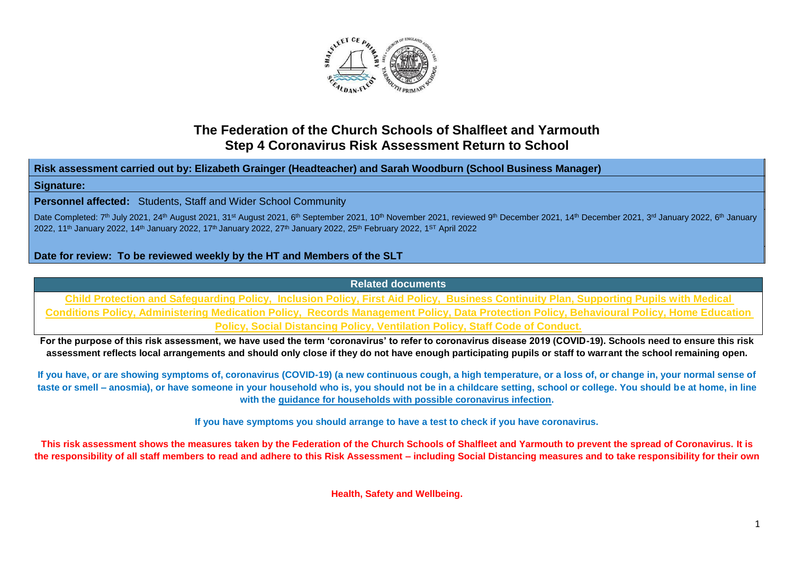

## **The Federation of the Church Schools of Shalfleet and Yarmouth Step 4 Coronavirus Risk Assessment Return to School**

**Risk assessment carried out by: Elizabeth Grainger (Headteacher) and Sarah Woodburn (School Business Manager)**

## **Signature:**

**Personnel affected:** Students, Staff and Wider School Community

Date Completed: 7<sup>th</sup> July 2021, 24<sup>th</sup> August 2021, 31st August 2021, 6<sup>th</sup> September 2021, 10<sup>th</sup> November 2021, reviewed 9<sup>th</sup> December 2021, 14<sup>th</sup> December 2021, 3<sup>rd</sup> January 2022, 6<sup>th</sup> January 2022, 11<sup>th</sup> January 2022, 14<sup>th</sup> January 2022, 17<sup>th</sup> January 2022, 27<sup>th</sup> January 2022, 25<sup>th</sup> February 2022, 1<sup>ST</sup> April 2022

## **Date for review: To be reviewed weekly by the HT and Members of the SLT**

**Related documents**

**Child Protection and Safeguarding Policy, Inclusion Policy, First Aid Policy, Business Continuity Plan, Supporting Pupils with Medical Conditions Policy, Administering Medication Policy, Records Management Policy, Data Protection Policy, Behavioural Policy, Home Education Policy, Social Distancing Policy, Ventilation Policy, Staff Code of Conduct.**

**For the purpose of this risk assessment, we have used the term 'coronavirus' to refer to coronavirus disease 2019 (COVID-19). Schools need to ensure this risk assessment reflects local arrangements and should only close if they do not have enough participating pupils or staff to warrant the school remaining open.**

**If you have, or are showing symptoms of, coronavirus (COVID-19) (a new continuous cough, a high temperature, or a loss of, or change in, your normal sense of taste or smell – anosmia), or have someone in your household who is, you should not be in a childcare setting, school or college. You should be at home, in line with the [guidance for households with possible coronavirus infection.](https://www.gov.uk/government/publications/covid-19-stay-at-home-guidance)**

**If you have symptoms you should arrange to have a test to check if you have coronavirus.**

**This risk assessment shows the measures taken by the Federation of the Church Schools of Shalfleet and Yarmouth to prevent the spread of Coronavirus. It is the responsibility of all staff members to read and adhere to this Risk Assessment – including Social Distancing measures and to take responsibility for their own** 

**Health, Safety and Wellbeing.**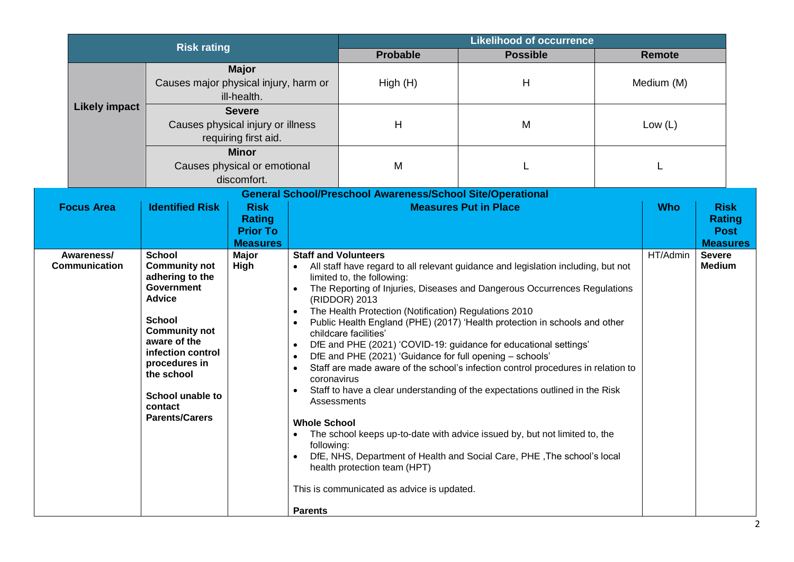| <b>Risk rating</b>          |                                                                                                                                                                                                                                                                     |                                                                    | <b>Likelihood of occurrence</b>                                                                                                                                            |                                                                                                                                                                                                                                                                                                                       |                                                                                                                                                                                                                                                                                                                                                                                                                                                                                                                                                                                                                                               |  |               |                                                                |
|-----------------------------|---------------------------------------------------------------------------------------------------------------------------------------------------------------------------------------------------------------------------------------------------------------------|--------------------------------------------------------------------|----------------------------------------------------------------------------------------------------------------------------------------------------------------------------|-----------------------------------------------------------------------------------------------------------------------------------------------------------------------------------------------------------------------------------------------------------------------------------------------------------------------|-----------------------------------------------------------------------------------------------------------------------------------------------------------------------------------------------------------------------------------------------------------------------------------------------------------------------------------------------------------------------------------------------------------------------------------------------------------------------------------------------------------------------------------------------------------------------------------------------------------------------------------------------|--|---------------|----------------------------------------------------------------|
|                             |                                                                                                                                                                                                                                                                     |                                                                    |                                                                                                                                                                            | <b>Probable</b>                                                                                                                                                                                                                                                                                                       | <b>Possible</b>                                                                                                                                                                                                                                                                                                                                                                                                                                                                                                                                                                                                                               |  | <b>Remote</b> |                                                                |
|                             | <b>Major</b><br>Causes major physical injury, harm or<br>ill-health.<br><b>Severe</b><br>Causes physical injury or illness<br>requiring first aid.<br><b>Minor</b><br>Causes physical or emotional<br>discomfort.                                                   |                                                                    |                                                                                                                                                                            | High(H)                                                                                                                                                                                                                                                                                                               | $\mathsf{H}$                                                                                                                                                                                                                                                                                                                                                                                                                                                                                                                                                                                                                                  |  | Medium (M)    |                                                                |
| <b>Likely impact</b>        |                                                                                                                                                                                                                                                                     |                                                                    |                                                                                                                                                                            |                                                                                                                                                                                                                                                                                                                       | M                                                                                                                                                                                                                                                                                                                                                                                                                                                                                                                                                                                                                                             |  | Low $(L)$     |                                                                |
|                             |                                                                                                                                                                                                                                                                     |                                                                    | M                                                                                                                                                                          |                                                                                                                                                                                                                                                                                                                       |                                                                                                                                                                                                                                                                                                                                                                                                                                                                                                                                                                                                                                               |  |               |                                                                |
|                             |                                                                                                                                                                                                                                                                     |                                                                    |                                                                                                                                                                            | <b>General School/Preschool Awareness/School Site/Operational</b>                                                                                                                                                                                                                                                     |                                                                                                                                                                                                                                                                                                                                                                                                                                                                                                                                                                                                                                               |  |               |                                                                |
| <b>Focus Area</b>           | <b>Identified Risk</b>                                                                                                                                                                                                                                              | <b>Risk</b><br><b>Rating</b><br><b>Prior To</b><br><b>Measures</b> |                                                                                                                                                                            |                                                                                                                                                                                                                                                                                                                       | <b>Measures Put in Place</b>                                                                                                                                                                                                                                                                                                                                                                                                                                                                                                                                                                                                                  |  | <b>Who</b>    | <b>Risk</b><br><b>Rating</b><br><b>Post</b><br><b>Measures</b> |
| Awareness/<br>Communication | <b>School</b><br><b>Community not</b><br>adhering to the<br><b>Government</b><br><b>Advice</b><br><b>School</b><br><b>Community not</b><br>aware of the<br>infection control<br>procedures in<br>the school<br>School unable to<br>contact<br><b>Parents/Carers</b> | <b>Major</b><br>High                                               | $\bullet$<br>$\bullet$<br>$\bullet$<br>$\bullet$<br>$\bullet$<br>$\bullet$<br>coronavirus<br>$\bullet$<br><b>Whole School</b><br>following:<br>$\bullet$<br><b>Parents</b> | <b>Staff and Volunteers</b><br>limited to, the following:<br>(RIDDOR) 2013<br>The Health Protection (Notification) Regulations 2010<br>childcare facilities'<br>DfE and PHE (2021) 'Guidance for full opening - schools'<br>Assessments<br>health protection team (HPT)<br>This is communicated as advice is updated. | All staff have regard to all relevant guidance and legislation including, but not<br>The Reporting of Injuries, Diseases and Dangerous Occurrences Regulations<br>Public Health England (PHE) (2017) 'Health protection in schools and other<br>DfE and PHE (2021) 'COVID-19: guidance for educational settings'<br>Staff are made aware of the school's infection control procedures in relation to<br>Staff to have a clear understanding of the expectations outlined in the Risk<br>The school keeps up-to-date with advice issued by, but not limited to, the<br>DfE, NHS, Department of Health and Social Care, PHE, The school's local |  | HT/Admin      | <b>Severe</b><br><b>Medium</b>                                 |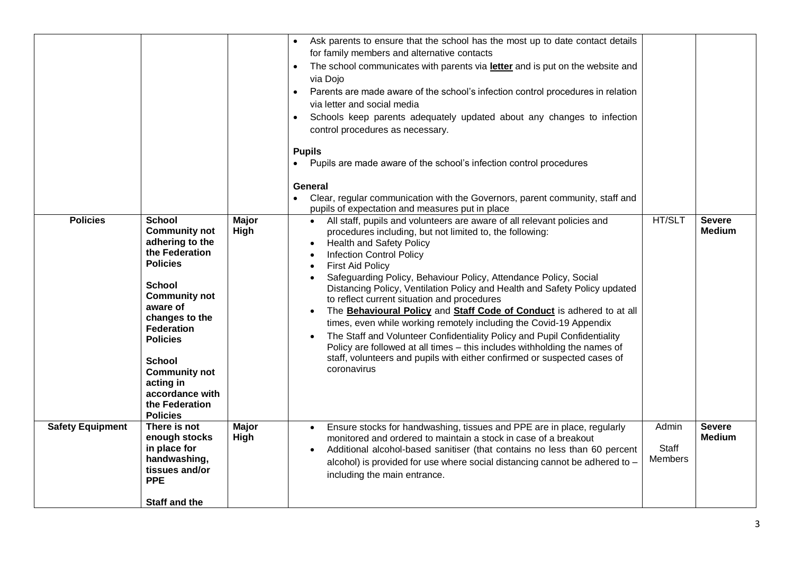|                         |                                                                                                                                                                                                                                                                                                                            |                      | Ask parents to ensure that the school has the most up to date contact details<br>for family members and alternative contacts<br>The school communicates with parents via letter and is put on the website and<br>$\bullet$<br>via Dojo<br>Parents are made aware of the school's infection control procedures in relation<br>$\bullet$<br>via letter and social media<br>Schools keep parents adequately updated about any changes to infection<br>$\bullet$<br>control procedures as necessary.<br><b>Pupils</b><br>Pupils are made aware of the school's infection control procedures<br>General<br>Clear, regular communication with the Governors, parent community, staff and<br>pupils of expectation and measures put in place                                                                                                                   |                                  |                                |
|-------------------------|----------------------------------------------------------------------------------------------------------------------------------------------------------------------------------------------------------------------------------------------------------------------------------------------------------------------------|----------------------|---------------------------------------------------------------------------------------------------------------------------------------------------------------------------------------------------------------------------------------------------------------------------------------------------------------------------------------------------------------------------------------------------------------------------------------------------------------------------------------------------------------------------------------------------------------------------------------------------------------------------------------------------------------------------------------------------------------------------------------------------------------------------------------------------------------------------------------------------------|----------------------------------|--------------------------------|
| <b>Policies</b>         | <b>School</b><br><b>Community not</b><br>adhering to the<br>the Federation<br><b>Policies</b><br><b>School</b><br><b>Community not</b><br>aware of<br>changes to the<br><b>Federation</b><br><b>Policies</b><br><b>School</b><br><b>Community not</b><br>acting in<br>accordance with<br>the Federation<br><b>Policies</b> | <b>Major</b><br>High | • All staff, pupils and volunteers are aware of all relevant policies and<br>procedures including, but not limited to, the following:<br><b>Health and Safety Policy</b><br>$\bullet$<br><b>Infection Control Policy</b><br><b>First Aid Policy</b><br>Safeguarding Policy, Behaviour Policy, Attendance Policy, Social<br>Distancing Policy, Ventilation Policy and Health and Safety Policy updated<br>to reflect current situation and procedures<br>The Behavioural Policy and Staff Code of Conduct is adhered to at all<br>times, even while working remotely including the Covid-19 Appendix<br>The Staff and Volunteer Confidentiality Policy and Pupil Confidentiality<br>Policy are followed at all times - this includes withholding the names of<br>staff, volunteers and pupils with either confirmed or suspected cases of<br>coronavirus | HT/SLT                           | <b>Severe</b><br><b>Medium</b> |
| <b>Safety Equipment</b> | There is not<br>enough stocks<br>in place for<br>handwashing,<br>tissues and/or<br><b>PPE</b><br><b>Staff and the</b>                                                                                                                                                                                                      | <b>Major</b><br>High | Ensure stocks for handwashing, tissues and PPE are in place, regularly<br>monitored and ordered to maintain a stock in case of a breakout<br>Additional alcohol-based sanitiser (that contains no less than 60 percent<br>$\bullet$<br>alcohol) is provided for use where social distancing cannot be adhered to -<br>including the main entrance.                                                                                                                                                                                                                                                                                                                                                                                                                                                                                                      | Admin<br>Staff<br><b>Members</b> | <b>Severe</b><br><b>Medium</b> |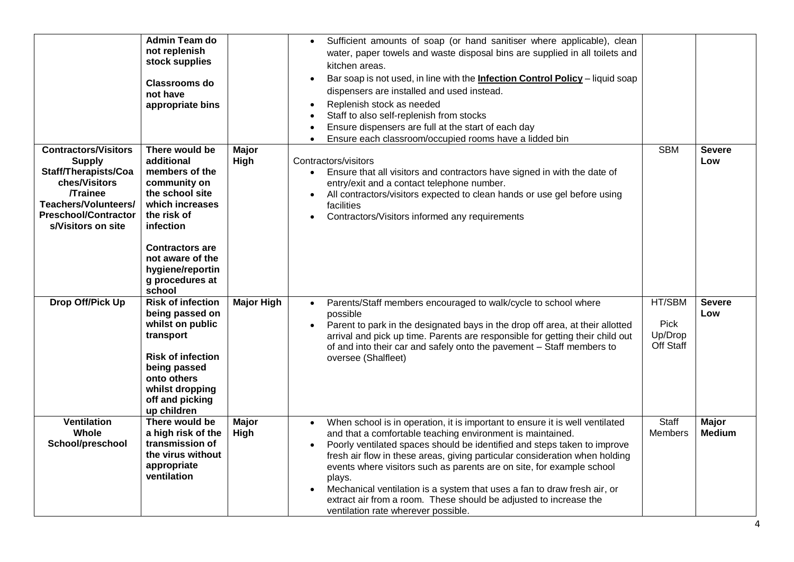|                                                                                                                                                                                      | <b>Admin Team do</b><br>not replenish<br>stock supplies                                                                                                                                                                         |                      | Sufficient amounts of soap (or hand sanitiser where applicable), clean<br>water, paper towels and waste disposal bins are supplied in all toilets and<br>kitchen areas.                                                                                                                                                                                                                                                                                                                                                                                                                                                 |                                        |                               |
|--------------------------------------------------------------------------------------------------------------------------------------------------------------------------------------|---------------------------------------------------------------------------------------------------------------------------------------------------------------------------------------------------------------------------------|----------------------|-------------------------------------------------------------------------------------------------------------------------------------------------------------------------------------------------------------------------------------------------------------------------------------------------------------------------------------------------------------------------------------------------------------------------------------------------------------------------------------------------------------------------------------------------------------------------------------------------------------------------|----------------------------------------|-------------------------------|
|                                                                                                                                                                                      | <b>Classrooms do</b><br>not have<br>appropriate bins                                                                                                                                                                            |                      | Bar soap is not used, in line with the <i>Infection Control Policy</i> - liquid soap<br>$\bullet$<br>dispensers are installed and used instead.<br>Replenish stock as needed<br>$\bullet$<br>Staff to also self-replenish from stocks<br>Ensure dispensers are full at the start of each day<br>Ensure each classroom/occupied rooms have a lidded bin                                                                                                                                                                                                                                                                  |                                        |                               |
| <b>Contractors/Visitors</b><br><b>Supply</b><br>Staff/Therapists/Coa<br>ches/Visitors<br><b>Trainee</b><br>Teachers/Volunteers/<br><b>Preschool/Contractor</b><br>s/Visitors on site | There would be<br>additional<br>members of the<br>community on<br>the school site<br>which increases<br>the risk of<br>infection<br><b>Contractors are</b><br>not aware of the<br>hygiene/reportin<br>g procedures at<br>school | Major<br>High        | Contractors/visitors<br>Ensure that all visitors and contractors have signed in with the date of<br>$\bullet$<br>entry/exit and a contact telephone number.<br>All contractors/visitors expected to clean hands or use gel before using<br>$\bullet$<br>facilities<br>Contractors/Visitors informed any requirements                                                                                                                                                                                                                                                                                                    | <b>SBM</b>                             | <b>Severe</b><br>Low          |
| Drop Off/Pick Up                                                                                                                                                                     | <b>Risk of infection</b><br>being passed on<br>whilst on public<br>transport<br><b>Risk of infection</b><br>being passed<br>onto others<br>whilst dropping<br>off and picking<br>up children                                    | <b>Major High</b>    | Parents/Staff members encouraged to walk/cycle to school where<br>$\bullet$<br>possible<br>Parent to park in the designated bays in the drop off area, at their allotted<br>$\bullet$<br>arrival and pick up time. Parents are responsible for getting their child out<br>of and into their car and safely onto the pavement - Staff members to<br>oversee (Shalfleet)                                                                                                                                                                                                                                                  | HT/SBM<br>Pick<br>Up/Drop<br>Off Staff | <b>Severe</b><br>Low          |
| <b>Ventilation</b><br>Whole<br>School/preschool                                                                                                                                      | There would be<br>a high risk of the<br>transmission of<br>the virus without<br>appropriate<br>ventilation                                                                                                                      | <b>Major</b><br>High | When school is in operation, it is important to ensure it is well ventilated<br>$\bullet$<br>and that a comfortable teaching environment is maintained.<br>Poorly ventilated spaces should be identified and steps taken to improve<br>$\bullet$<br>fresh air flow in these areas, giving particular consideration when holding<br>events where visitors such as parents are on site, for example school<br>plays.<br>Mechanical ventilation is a system that uses a fan to draw fresh air, or<br>$\bullet$<br>extract air from a room. These should be adjusted to increase the<br>ventilation rate wherever possible. | <b>Staff</b><br>Members                | <b>Major</b><br><b>Medium</b> |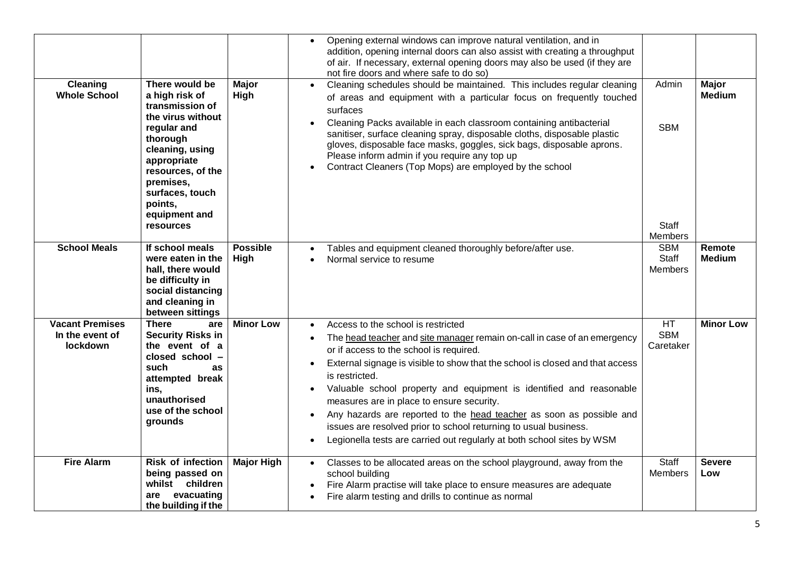| <b>Cleaning</b><br><b>Whole School</b>                | There would be<br>a high risk of<br>transmission of<br>the virus without<br>regular and<br>thorough<br>cleaning, using<br>appropriate<br>resources, of the<br>premises,<br>surfaces, touch<br>points,<br>equipment and<br><b>resources</b> | Major<br>High           | Opening external windows can improve natural ventilation, and in<br>addition, opening internal doors can also assist with creating a throughput<br>of air. If necessary, external opening doors may also be used (if they are<br>not fire doors and where safe to do so)<br>Cleaning schedules should be maintained. This includes regular cleaning<br>of areas and equipment with a particular focus on frequently touched<br>surfaces<br>Cleaning Packs available in each classroom containing antibacterial<br>sanitiser, surface cleaning spray, disposable cloths, disposable plastic<br>gloves, disposable face masks, goggles, sick bags, disposable aprons.<br>Please inform admin if you require any top up<br>Contract Cleaners (Top Mops) are employed by the school<br>$\bullet$ | Admin<br><b>SBM</b><br><b>Staff</b><br>Members | <b>Major</b><br><b>Medium</b> |
|-------------------------------------------------------|--------------------------------------------------------------------------------------------------------------------------------------------------------------------------------------------------------------------------------------------|-------------------------|----------------------------------------------------------------------------------------------------------------------------------------------------------------------------------------------------------------------------------------------------------------------------------------------------------------------------------------------------------------------------------------------------------------------------------------------------------------------------------------------------------------------------------------------------------------------------------------------------------------------------------------------------------------------------------------------------------------------------------------------------------------------------------------------|------------------------------------------------|-------------------------------|
| <b>School Meals</b>                                   | If school meals<br>were eaten in the<br>hall, there would<br>be difficulty in<br>social distancing<br>and cleaning in<br>between sittings                                                                                                  | <b>Possible</b><br>High | Tables and equipment cleaned thoroughly before/after use.<br>Normal service to resume                                                                                                                                                                                                                                                                                                                                                                                                                                                                                                                                                                                                                                                                                                        | <b>SBM</b><br><b>Staff</b><br><b>Members</b>   | Remote<br><b>Medium</b>       |
| <b>Vacant Premises</b><br>In the event of<br>lockdown | <b>There</b><br>are<br><b>Security Risks in</b><br>the event of a<br>closed school -<br>such<br>as<br>attempted break<br>ins,<br>unauthorised<br>use of the school<br>grounds                                                              | <b>Minor Low</b>        | Access to the school is restricted<br>The head teacher and site manager remain on-call in case of an emergency<br>or if access to the school is required.<br>External signage is visible to show that the school is closed and that access<br>$\bullet$<br>is restricted.<br>Valuable school property and equipment is identified and reasonable<br>measures are in place to ensure security.<br>Any hazards are reported to the head teacher as soon as possible and<br>issues are resolved prior to school returning to usual business.<br>Legionella tests are carried out regularly at both school sites by WSM<br>$\bullet$                                                                                                                                                             | HT<br><b>SBM</b><br>Caretaker                  | <b>Minor Low</b>              |
| <b>Fire Alarm</b>                                     | <b>Risk of infection</b><br>being passed on<br>whilst children<br>evacuating<br>are<br>the building if the                                                                                                                                 | <b>Major High</b>       | Classes to be allocated areas on the school playground, away from the<br>$\bullet$<br>school building<br>Fire Alarm practise will take place to ensure measures are adequate<br>Fire alarm testing and drills to continue as normal                                                                                                                                                                                                                                                                                                                                                                                                                                                                                                                                                          | Staff<br><b>Members</b>                        | <b>Severe</b><br>Low          |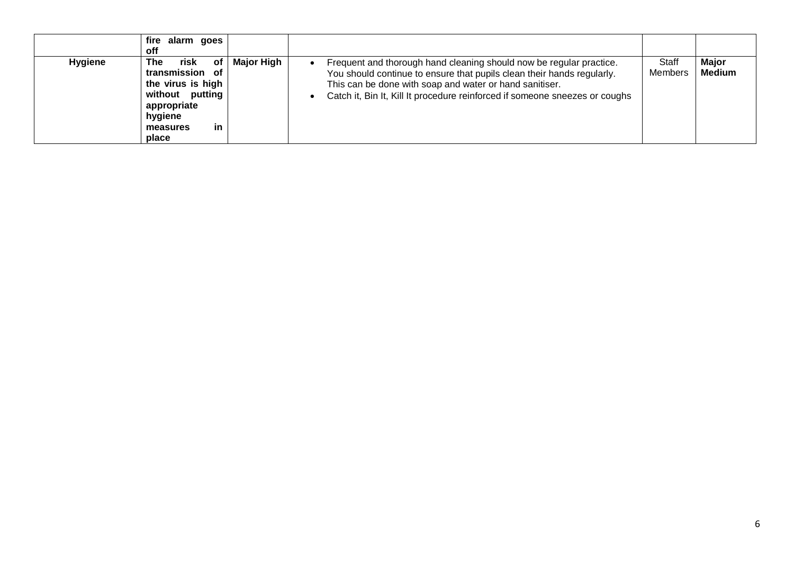|                | fire<br>alarm goes<br><b>off</b>                                                                                                  |                   |                                                                                                                                                                                                                                                                                         |                  |                 |
|----------------|-----------------------------------------------------------------------------------------------------------------------------------|-------------------|-----------------------------------------------------------------------------------------------------------------------------------------------------------------------------------------------------------------------------------------------------------------------------------------|------------------|-----------------|
| <b>Hygiene</b> | of<br>risk<br>The<br>transmission of<br>the virus is high<br>without putting<br>appropriate<br>hygiene<br>in<br>measures<br>place | <b>Major High</b> | Frequent and thorough hand cleaning should now be regular practice.<br>You should continue to ensure that pupils clean their hands regularly.<br>This can be done with soap and water or hand sanitiser.<br>Catch it, Bin It, Kill It procedure reinforced if someone sneezes or coughs | Staff<br>Members | Major<br>Medium |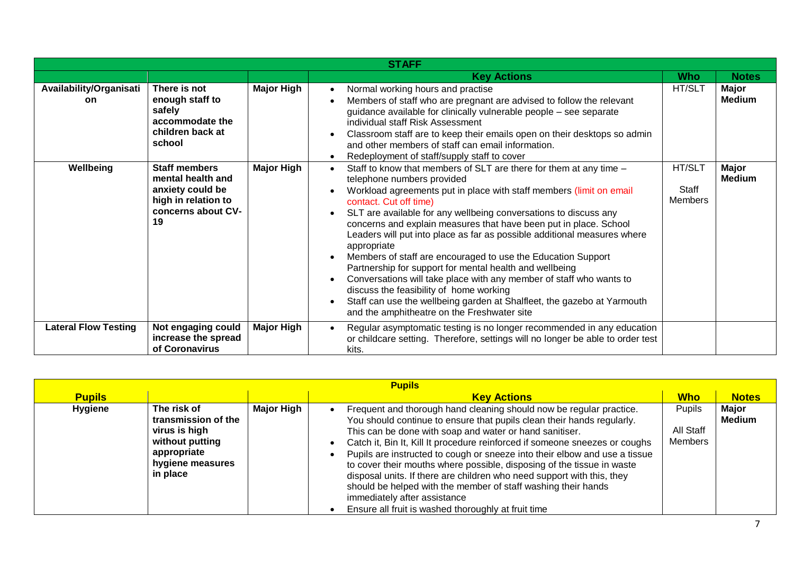|                                      | <b>STAFF</b>                                                                                                     |                   |                                                                                                                                                                                                                                                                                                                                                                                                                                                                                                                                                                                                                                                                                                                                                                                                              |                                   |                        |  |  |
|--------------------------------------|------------------------------------------------------------------------------------------------------------------|-------------------|--------------------------------------------------------------------------------------------------------------------------------------------------------------------------------------------------------------------------------------------------------------------------------------------------------------------------------------------------------------------------------------------------------------------------------------------------------------------------------------------------------------------------------------------------------------------------------------------------------------------------------------------------------------------------------------------------------------------------------------------------------------------------------------------------------------|-----------------------------------|------------------------|--|--|
|                                      |                                                                                                                  |                   | <b>Key Actions</b>                                                                                                                                                                                                                                                                                                                                                                                                                                                                                                                                                                                                                                                                                                                                                                                           | <b>Who</b>                        | <b>Notes</b>           |  |  |
| Availability/Organisati<br><b>on</b> | There is not<br>enough staff to<br>safely<br>accommodate the<br>children back at<br>school                       | <b>Major High</b> | Normal working hours and practise<br>Members of staff who are pregnant are advised to follow the relevant<br>guidance available for clinically vulnerable people - see separate<br>individual staff Risk Assessment<br>Classroom staff are to keep their emails open on their desktops so admin<br>and other members of staff can email information.<br>Redeployment of staff/supply staff to cover                                                                                                                                                                                                                                                                                                                                                                                                          | HT/SLT                            | Major<br><b>Medium</b> |  |  |
| Wellbeing                            | <b>Staff members</b><br>mental health and<br>anxiety could be<br>high in relation to<br>concerns about CV-<br>19 | <b>Major High</b> | Staff to know that members of SLT are there for them at any time -<br>telephone numbers provided<br>Workload agreements put in place with staff members (limit on email<br>contact. Cut off time)<br>SLT are available for any wellbeing conversations to discuss any<br>concerns and explain measures that have been put in place. School<br>Leaders will put into place as far as possible additional measures where<br>appropriate<br>Members of staff are encouraged to use the Education Support<br>Partnership for support for mental health and wellbeing<br>Conversations will take place with any member of staff who wants to<br>discuss the feasibility of home working<br>Staff can use the wellbeing garden at Shalfleet, the gazebo at Yarmouth<br>and the amphitheatre on the Freshwater site | HT/SLT<br>Staff<br><b>Members</b> | Major<br><b>Medium</b> |  |  |
| <b>Lateral Flow Testing</b>          | Not engaging could<br>increase the spread<br>of Coronavirus                                                      | Major High        | Regular asymptomatic testing is no longer recommended in any education<br>or childcare setting. Therefore, settings will no longer be able to order test<br>kits.                                                                                                                                                                                                                                                                                                                                                                                                                                                                                                                                                                                                                                            |                                   |                        |  |  |

| <b>Pupils</b>  |                                                                                                                       |            |                                                                                                                                                                                                                                                                                                                                                                                                                                                                                                                                                                                                                                                                                   |                                |                        |  |  |
|----------------|-----------------------------------------------------------------------------------------------------------------------|------------|-----------------------------------------------------------------------------------------------------------------------------------------------------------------------------------------------------------------------------------------------------------------------------------------------------------------------------------------------------------------------------------------------------------------------------------------------------------------------------------------------------------------------------------------------------------------------------------------------------------------------------------------------------------------------------------|--------------------------------|------------------------|--|--|
| <b>Pupils</b>  |                                                                                                                       |            | <b>Key Actions</b>                                                                                                                                                                                                                                                                                                                                                                                                                                                                                                                                                                                                                                                                | <b>Who</b>                     | <b>Notes</b>           |  |  |
| <b>Hygiene</b> | The risk of<br>transmission of the<br>virus is high<br>without putting<br>appropriate<br>hygiene measures<br>in place | Major High | Frequent and thorough hand cleaning should now be regular practice.<br>You should continue to ensure that pupils clean their hands regularly.<br>This can be done with soap and water or hand sanitiser.<br>Catch it, Bin It, Kill It procedure reinforced if someone sneezes or coughs<br>Pupils are instructed to cough or sneeze into their elbow and use a tissue<br>to cover their mouths where possible, disposing of the tissue in waste<br>disposal units. If there are children who need support with this, they<br>should be helped with the member of staff washing their hands<br>immediately after assistance<br>Ensure all fruit is washed thoroughly at fruit time | Pupils<br>All Staff<br>Members | Major<br><b>Medium</b> |  |  |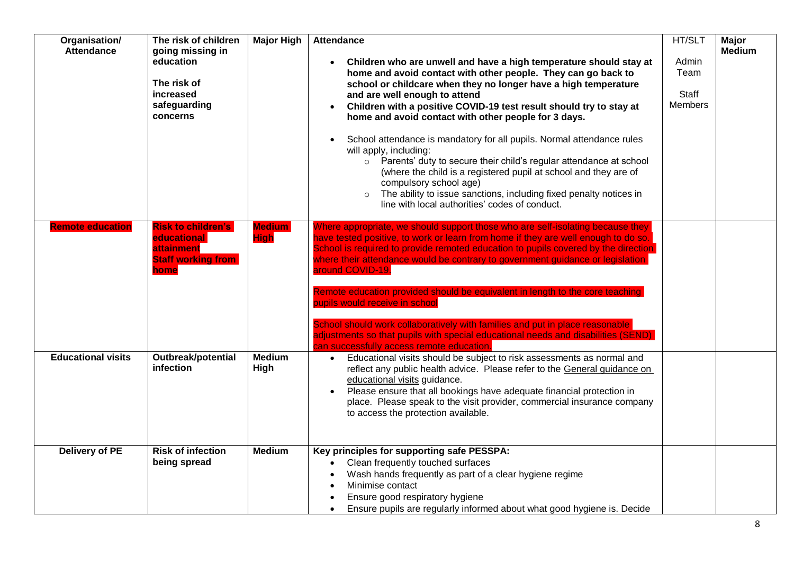| Organisation/<br><b>Attendance</b> | The risk of children<br>going missing in<br>education<br>The risk of<br>increased<br>safeguarding<br>concerns | <b>Major High</b>            | <b>Attendance</b><br>Children who are unwell and have a high temperature should stay at<br>home and avoid contact with other people. They can go back to<br>school or childcare when they no longer have a high temperature<br>and are well enough to attend<br>Children with a positive COVID-19 test result should try to stay at<br>home and avoid contact with other people for 3 days.<br>School attendance is mandatory for all pupils. Normal attendance rules<br>will apply, including:<br>o Parents' duty to secure their child's regular attendance at school<br>(where the child is a registered pupil at school and they are of<br>compulsory school age)<br>The ability to issue sanctions, including fixed penalty notices in<br>line with local authorities' codes of conduct. | HT/SLT<br>Admin<br>Team<br>Staff<br><b>Members</b> | Major<br><b>Medium</b> |
|------------------------------------|---------------------------------------------------------------------------------------------------------------|------------------------------|-----------------------------------------------------------------------------------------------------------------------------------------------------------------------------------------------------------------------------------------------------------------------------------------------------------------------------------------------------------------------------------------------------------------------------------------------------------------------------------------------------------------------------------------------------------------------------------------------------------------------------------------------------------------------------------------------------------------------------------------------------------------------------------------------|----------------------------------------------------|------------------------|
| <b>Remote education</b>            | <b>Risk to children's</b><br>educational<br>attainment<br><b>Staff working from</b><br>home                   | <b>Medium</b><br><b>High</b> | Where appropriate, we should support those who are self-isolating because they<br>have tested positive, to work or learn from home if they are well enough to do so.<br>School is required to provide remoted education to pupils covered by the direction<br>where their attendance would be contrary to government guidance or legislation<br>around COVID-19.<br>Remote education provided should be equivalent in length to the core teaching<br>pupils would receive in school<br>School should work collaboratively with families and put in place reasonable<br>adjustments so that pupils with special educational needs and disabilities (SEND)<br>an successfully access remote education.                                                                                          |                                                    |                        |
| <b>Educational visits</b>          | Outbreak/potential<br>infection                                                                               | <b>Medium</b><br>High        | Educational visits should be subject to risk assessments as normal and<br>$\bullet$<br>reflect any public health advice. Please refer to the General guidance on<br>educational visits guidance.<br>Please ensure that all bookings have adequate financial protection in<br>place. Please speak to the visit provider, commercial insurance company<br>to access the protection available.                                                                                                                                                                                                                                                                                                                                                                                                   |                                                    |                        |
| <b>Delivery of PE</b>              | <b>Risk of infection</b><br>being spread                                                                      | <b>Medium</b>                | Key principles for supporting safe PESSPA:<br>Clean frequently touched surfaces<br>Wash hands frequently as part of a clear hygiene regime<br>Minimise contact<br>Ensure good respiratory hygiene<br>Ensure pupils are regularly informed about what good hygiene is. Decide                                                                                                                                                                                                                                                                                                                                                                                                                                                                                                                  |                                                    |                        |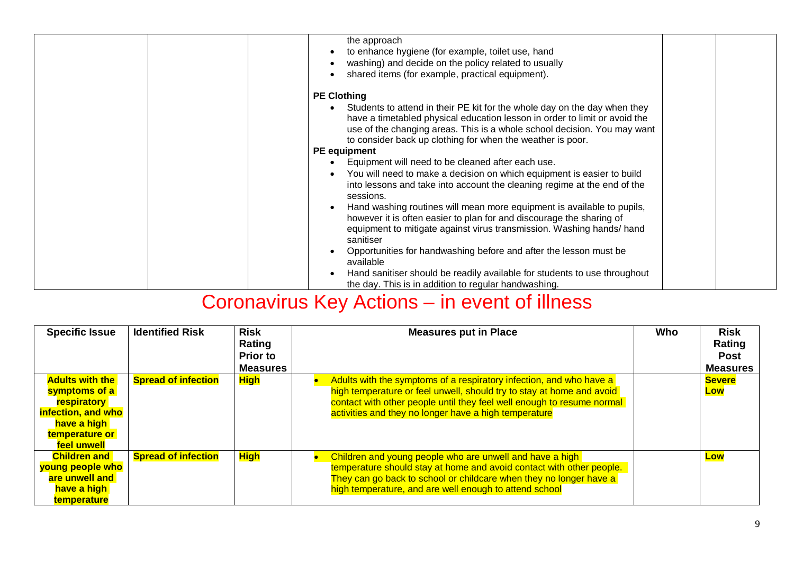| the approach<br>to enhance hygiene (for example, toilet use, hand<br>washing) and decide on the policy related to usually<br>shared items (for example, practical equipment).                                                                                                                                                                                                                                                                                                                                                                 |
|-----------------------------------------------------------------------------------------------------------------------------------------------------------------------------------------------------------------------------------------------------------------------------------------------------------------------------------------------------------------------------------------------------------------------------------------------------------------------------------------------------------------------------------------------|
| <b>PE Clothing</b><br>Students to attend in their PE kit for the whole day on the day when they<br>have a timetabled physical education lesson in order to limit or avoid the<br>use of the changing areas. This is a whole school decision. You may want<br>to consider back up clothing for when the weather is poor.                                                                                                                                                                                                                       |
| <b>PE</b> equipment                                                                                                                                                                                                                                                                                                                                                                                                                                                                                                                           |
| Equipment will need to be cleaned after each use.<br>You will need to make a decision on which equipment is easier to build<br>into lessons and take into account the cleaning regime at the end of the<br>sessions.<br>Hand washing routines will mean more equipment is available to pupils,<br>however it is often easier to plan for and discourage the sharing of<br>equipment to mitigate against virus transmission. Washing hands/hand<br>sanitiser<br>Opportunities for handwashing before and after the lesson must be<br>available |
| Hand sanitiser should be readily available for students to use throughout<br>the day. This is in addition to regular handwashing.                                                                                                                                                                                                                                                                                                                                                                                                             |

## Coronavirus Key Actions – in event of illness

| <b>Specific Issue</b>                                                                                                                      | <b>Identified Risk</b>     | <b>Risk</b><br>Rating<br><b>Prior to</b><br><b>Measures</b> | <b>Measures put in Place</b>                                                                                                                                                                                                                                                    | Who | <b>Risk</b><br>Rating<br><b>Post</b><br><b>Measures</b> |
|--------------------------------------------------------------------------------------------------------------------------------------------|----------------------------|-------------------------------------------------------------|---------------------------------------------------------------------------------------------------------------------------------------------------------------------------------------------------------------------------------------------------------------------------------|-----|---------------------------------------------------------|
| <b>Adults with the</b><br>symptoms of a<br><b><u>respiratory</u></b><br>infection, and who<br>have a high<br>temperature or<br>feel unwell | <b>Spread of infection</b> | <b>High</b>                                                 | Adults with the symptoms of a respiratory infection, and who have a<br>high temperature or feel unwell, should try to stay at home and avoid<br>contact with other people until they feel well enough to resume normal<br>activities and they no longer have a high temperature |     | <b>Severe</b><br>Low                                    |
| <b>Children and</b><br>young people who<br>are unwell and<br>have a high<br>temperature                                                    | <b>Spread of infection</b> | <b>High</b>                                                 | Children and young people who are unwell and have a high<br>temperature should stay at home and avoid contact with other people.<br>They can go back to school or childcare when they no longer have a<br>high temperature, and are well enough to attend school                |     | Low                                                     |